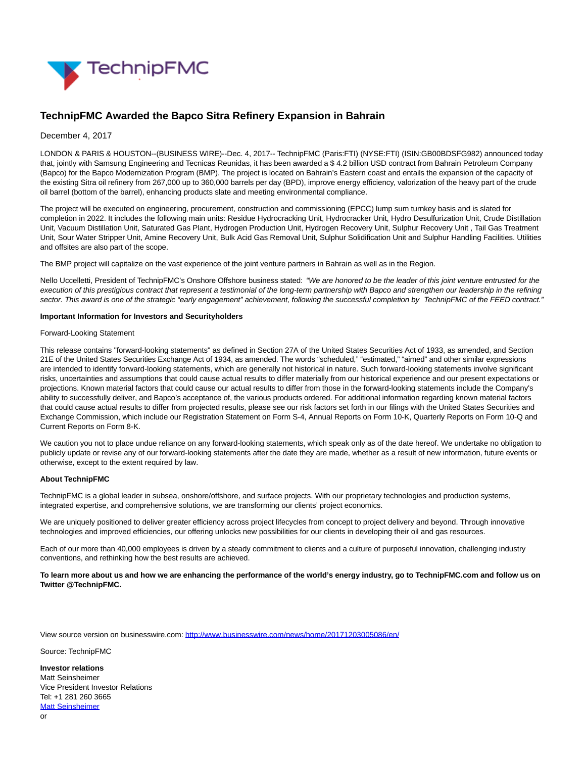

# **TechnipFMC Awarded the Bapco Sitra Refinery Expansion in Bahrain**

## December 4, 2017

LONDON & PARIS & HOUSTON--(BUSINESS WIRE)--Dec. 4, 2017-- TechnipFMC (Paris:FTI) (NYSE:FTI) (ISIN:GB00BDSFG982) announced today that, jointly with Samsung Engineering and Tecnicas Reunidas, it has been awarded a \$ 4.2 billion USD contract from Bahrain Petroleum Company (Bapco) for the Bapco Modernization Program (BMP). The project is located on Bahrain's Eastern coast and entails the expansion of the capacity of the existing Sitra oil refinery from 267,000 up to 360,000 barrels per day (BPD), improve energy efficiency, valorization of the heavy part of the crude oil barrel (bottom of the barrel), enhancing products slate and meeting environmental compliance.

The project will be executed on engineering, procurement, construction and commissioning (EPCC) lump sum turnkey basis and is slated for completion in 2022. It includes the following main units: Residue Hydrocracking Unit, Hydrocracker Unit, Hydro Desulfurization Unit, Crude Distillation Unit, Vacuum Distillation Unit, Saturated Gas Plant, Hydrogen Production Unit, Hydrogen Recovery Unit, Sulphur Recovery Unit , Tail Gas Treatment Unit, Sour Water Stripper Unit, Amine Recovery Unit, Bulk Acid Gas Removal Unit, Sulphur Solidification Unit and Sulphur Handling Facilities. Utilities and offsites are also part of the scope.

The BMP project will capitalize on the vast experience of the joint venture partners in Bahrain as well as in the Region.

Nello Uccelletti, President of TechnipFMC's Onshore Offshore business stated: "We are honored to be the leader of this joint venture entrusted for the execution of this prestigious contract that represent a testimonial of the long-term partnership with Bapco and strengthen our leadership in the refining sector. This award is one of the strategic "early engagement" achievement, following the successful completion by TechnipFMC of the FEED contract."

### **Important Information for Investors and Securityholders**

#### Forward-Looking Statement

This release contains "forward-looking statements" as defined in Section 27A of the United States Securities Act of 1933, as amended, and Section 21E of the United States Securities Exchange Act of 1934, as amended. The words "scheduled," "estimated," "aimed" and other similar expressions are intended to identify forward-looking statements, which are generally not historical in nature. Such forward-looking statements involve significant risks, uncertainties and assumptions that could cause actual results to differ materially from our historical experience and our present expectations or projections. Known material factors that could cause our actual results to differ from those in the forward-looking statements include the Company's ability to successfully deliver, and Bapco's acceptance of, the various products ordered. For additional information regarding known material factors that could cause actual results to differ from projected results, please see our risk factors set forth in our filings with the United States Securities and Exchange Commission, which include our Registration Statement on Form S-4, Annual Reports on Form 10-K, Quarterly Reports on Form 10-Q and Current Reports on Form 8-K.

We caution you not to place undue reliance on any forward-looking statements, which speak only as of the date hereof. We undertake no obligation to publicly update or revise any of our forward-looking statements after the date they are made, whether as a result of new information, future events or otherwise, except to the extent required by law.

### **About TechnipFMC**

TechnipFMC is a global leader in subsea, onshore/offshore, and surface projects. With our proprietary technologies and production systems, integrated expertise, and comprehensive solutions, we are transforming our clients' project economics.

We are uniquely positioned to deliver greater efficiency across project lifecycles from concept to project delivery and beyond. Through innovative technologies and improved efficiencies, our offering unlocks new possibilities for our clients in developing their oil and gas resources.

Each of our more than 40,000 employees is driven by a steady commitment to clients and a culture of purposeful innovation, challenging industry conventions, and rethinking how the best results are achieved.

**To learn more about us and how we are enhancing the performance of the world's energy industry, go to TechnipFMC.com and follow us on Twitter @TechnipFMC.**

View source version on businesswire.com:<http://www.businesswire.com/news/home/20171203005086/en/>

Source: TechnipFMC

**Investor relations** Matt Seinsheimer Vice President Investor Relations Tel: +1 281 260 3665 [Matt Seinsheimer](mailto:InvestorRelations@TechnipFMC.com) or